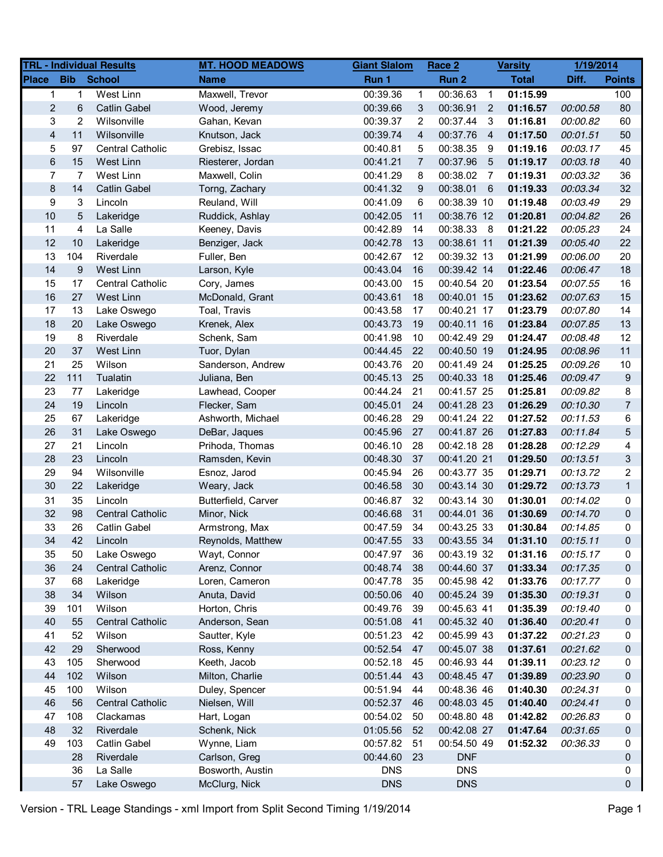|                         |                | <b>TRL - Individual Results</b> | <b>MT. HOOD MEADOWS</b> | <b>Giant Slalom</b> |                | Race 2      |                         | <b>Varsity</b> | 1/19/2014 |                |
|-------------------------|----------------|---------------------------------|-------------------------|---------------------|----------------|-------------|-------------------------|----------------|-----------|----------------|
| <b>Place</b>            | <b>Bib</b>     | <b>School</b>                   | <b>Name</b>             | Run 1               |                | Run 2       |                         | <b>Total</b>   | Diff.     | <b>Points</b>  |
| $\mathbf{1}$            | $\mathbf 1$    | West Linn                       | Maxwell, Trevor         | 00:39.36            | $\mathbf{1}$   | 00:36.63    | $\overline{1}$          | 01:15.99       |           | 100            |
| $\overline{c}$          | 6              | <b>Catlin Gabel</b>             | Wood, Jeremy            | 00:39.66            | 3              | 00:36.91    | $\overline{2}$          | 01:16.57       | 00:00.58  | 80             |
| 3                       | $\overline{2}$ | Wilsonville                     | Gahan, Kevan            | 00:39.37            | 2              | 00:37.44    | $\overline{\mathbf{3}}$ | 01:16.81       | 00:00.82  | 60             |
| $\overline{\mathbf{4}}$ | 11             | Wilsonville                     | Knutson, Jack           | 00:39.74            | 4              | 00:37.76    | $\overline{4}$          | 01:17.50       | 00:01.51  | 50             |
| 5                       | 97             | <b>Central Catholic</b>         | Grebisz, Issac          | 00:40.81            | 5              | 00:38.35    | -9                      | 01:19.16       | 00:03.17  | 45             |
| $\,6$                   | 15             | West Linn                       | Riesterer, Jordan       | 00:41.21            | $\overline{7}$ | 00:37.96    | $5\overline{5}$         | 01:19.17       | 00:03.18  | 40             |
| $\overline{7}$          | 7              | West Linn                       | Maxwell, Colin          | 00:41.29            | 8              | 00:38.02    | $\overline{7}$          | 01:19.31       | 00:03.32  | 36             |
| $\bf 8$                 | 14             | <b>Catlin Gabel</b>             | Torng, Zachary          | 00:41.32            | 9              | 00:38.01    | 6                       | 01:19.33       | 00:03.34  | 32             |
| 9                       | 3              | Lincoln                         | Reuland, Will           | 00:41.09            | 6              | 00:38.39 10 |                         | 01:19.48       | 00:03.49  | 29             |
| 10                      | 5              | Lakeridge                       | Ruddick, Ashlay         | 00:42.05            | 11             | 00:38.76 12 |                         | 01:20.81       | 00:04.82  | 26             |
| 11                      | 4              | La Salle                        | Keeney, Davis           | 00:42.89            | 14             | 00:38.33    | 8                       | 01:21.22       | 00:05.23  | 24             |
| 12                      | 10             | Lakeridge                       | Benziger, Jack          | 00:42.78            | 13             | 00:38.61 11 |                         | 01:21.39       | 00:05.40  | 22             |
| 13                      | 104            | Riverdale                       | Fuller, Ben             | 00:42.67            | 12             | 00:39.32 13 |                         | 01:21.99       | 00:06.00  | 20             |
| 14                      | 9              | West Linn                       | Larson, Kyle            | 00:43.04            | 16             | 00:39.42 14 |                         | 01:22.46       | 00:06.47  | 18             |
| 15                      | 17             | <b>Central Catholic</b>         | Cory, James             | 00:43.00            | 15             | 00:40.54 20 |                         | 01:23.54       | 00:07.55  | 16             |
| 16                      | 27             | West Linn                       | McDonald, Grant         | 00:43.61            | 18             | 00:40.01 15 |                         | 01:23.62       | 00:07.63  | 15             |
| 17                      | 13             | Lake Oswego                     | Toal, Travis            | 00:43.58            | 17             | 00:40.21 17 |                         | 01:23.79       | 00:07.80  | 14             |
| 18                      | 20             | Lake Oswego                     | Krenek, Alex            | 00:43.73            | 19             | 00:40.11 16 |                         | 01:23.84       | 00:07.85  | 13             |
| 19                      | 8              | Riverdale                       | Schenk, Sam             | 00:41.98            | 10             | 00:42.49 29 |                         | 01:24.47       | 00:08.48  | 12             |
| 20                      | 37             | West Linn                       | Tuor, Dylan             | 00:44.45            | 22             | 00:40.50 19 |                         | 01:24.95       | 00:08.96  | 11             |
| 21                      | 25             | Wilson                          | Sanderson, Andrew       | 00:43.76            | 20             | 00:41.49 24 |                         | 01:25.25       | 00:09.26  | 10             |
| 22                      | 111            | Tualatin                        | Juliana, Ben            | 00:45.13            | 25             | 00:40.33 18 |                         | 01:25.46       | 00:09.47  | 9              |
| 23                      | 77             | Lakeridge                       | Lawhead, Cooper         | 00:44.24            | 21             | 00:41.57 25 |                         | 01:25.81       | 00:09.82  | 8              |
| 24                      | 19             | Lincoln                         | Flecker, Sam            | 00:45.01            | 24             | 00:41.28 23 |                         | 01:26.29       | 00:10.30  | $\overline{7}$ |
| 25                      | 67             | Lakeridge                       | Ashworth, Michael       | 00:46.28            | 29             | 00:41.24 22 |                         | 01:27.52       | 00:11.53  | 6              |
| 26                      | 31             | Lake Oswego                     | DeBar, Jaques           | 00:45.96            | 27             | 00:41.87 26 |                         | 01:27.83       | 00:11.84  | 5              |
| 27                      | 21             | Lincoln                         | Prihoda, Thomas         | 00:46.10            | 28             | 00:42.18 28 |                         | 01:28.28       | 00:12.29  | 4              |
| 28                      | 23             | Lincoln                         | Ramsden, Kevin          | 00:48.30            | 37             | 00:41.20 21 |                         | 01:29.50       | 00:13.51  | 3              |
| 29                      | 94             | Wilsonville                     | Esnoz, Jarod            | 00:45.94            | 26             | 00:43.77 35 |                         | 01:29.71       | 00:13.72  | $\overline{2}$ |
| 30                      | 22             | Lakeridge                       | Weary, Jack             | 00:46.58            | 30             | 00:43.14 30 |                         | 01:29.72       | 00:13.73  | $\mathbf{1}$   |
| 31                      | 35             | Lincoln                         | Butterfield, Carver     | 00:46.87            | 32             | 00:43.14 30 |                         | 01:30.01       | 00:14.02  | 0              |
| 32                      | 98             | <b>Central Catholic</b>         | Minor, Nick             | 00:46.68            | 31             | 00:44.01 36 |                         | 01:30.69       | 00:14.70  | 0              |
| 33                      | 26             | <b>Catlin Gabel</b>             | Armstrong, Max          | 00:47.59            | 34             | 00:43.25 33 |                         | 01:30.84       | 00:14.85  | 0              |
| 34                      | 42             | Lincoln                         | Reynolds, Matthew       | 00:47.55            | 33             | 00:43.55 34 |                         | 01:31.10       | 00:15.11  | $\Omega$       |
| 35                      | 50             | Lake Oswego                     | Wayt, Connor            | 00:47.97            | 36             | 00:43.19 32 |                         | 01:31.16       | 00:15.17  | 0              |
| 36                      | 24             | <b>Central Catholic</b>         | Arenz, Connor           | 00:48.74            | 38             | 00:44.60 37 |                         | 01:33.34       | 00:17.35  | 0              |
| 37                      | 68             | Lakeridge                       | Loren, Cameron          | 00:47.78            | 35             | 00:45.98 42 |                         | 01:33.76       | 00:17.77  | 0              |
| 38                      | 34             | Wilson                          | Anuta, David            | 00:50.06            | - 40           | 00:45.24 39 |                         | 01:35.30       | 00:19.31  | 0              |
| 39                      | 101            | Wilson                          | Horton, Chris           | 00:49.76            | 39             | 00:45.63 41 |                         | 01:35.39       | 00:19.40  | 0              |
| 40                      | 55             | <b>Central Catholic</b>         | Anderson, Sean          | 00:51.08            | 41             | 00:45.32 40 |                         | 01:36.40       | 00:20.41  | 0              |
| 41                      | 52             | Wilson                          | Sautter, Kyle           | 00:51.23            | 42             | 00:45.99 43 |                         | 01:37.22       | 00:21.23  | 0              |
| 42                      | 29             | Sherwood                        | Ross, Kenny             | 00:52.54            | 47             | 00:45.07 38 |                         | 01:37.61       | 00:21.62  | 0              |
| 43                      | 105            | Sherwood                        | Keeth, Jacob            | 00:52.18            | 45             | 00:46.93 44 |                         | 01:39.11       | 00:23.12  | 0              |
| 44                      | 102            | Wilson                          | Milton, Charlie         | 00:51.44            | 43             | 00:48.45 47 |                         | 01:39.89       | 00:23.90  | 0              |
| 45                      | 100            | Wilson                          | Duley, Spencer          | 00:51.94            | 44             | 00:48.36 46 |                         | 01:40.30       | 00:24.31  | 0              |
| 46                      | 56             | <b>Central Catholic</b>         | Nielsen, Will           | 00:52.37            | 46             | 00:48.03 45 |                         | 01:40.40       | 00:24.41  | 0              |
| 47                      | 108            | Clackamas                       | Hart, Logan             | 00:54.02            | 50             | 00:48.80 48 |                         | 01:42.82       | 00:26.83  | 0              |
| 48                      | 32             | Riverdale                       | Schenk, Nick            | 01:05.56            | 52             | 00:42.08 27 |                         | 01:47.64       | 00:31.65  | 0              |
| 49                      | 103            | Catlin Gabel                    | Wynne, Liam             | 00:57.82            | 51             | 00:54.50 49 |                         | 01:52.32       | 00:36.33  | 0              |
|                         | 28             | Riverdale                       | Carlson, Greg           | 00:44.60            | 23             | <b>DNF</b>  |                         |                |           | 0              |
|                         | 36             | La Salle                        | Bosworth, Austin        | <b>DNS</b>          |                | <b>DNS</b>  |                         |                |           | 0              |
|                         | 57             | Lake Oswego                     | McClurg, Nick           | <b>DNS</b>          |                | <b>DNS</b>  |                         |                |           | 0              |
|                         |                |                                 |                         |                     |                |             |                         |                |           |                |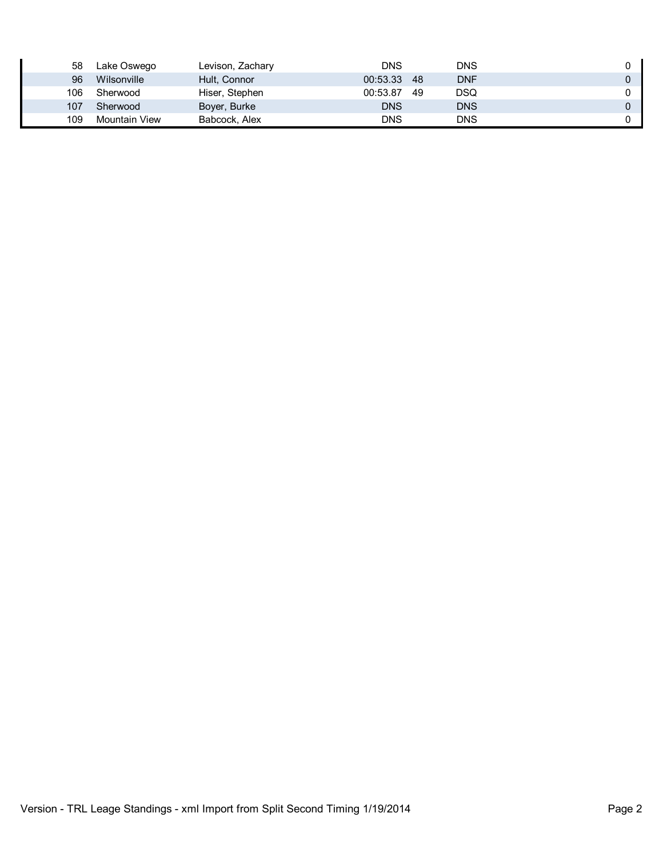| 58  | Lake Oswego   | Levison, Zachary | <b>DNS</b> |      | DNS        |  |
|-----|---------------|------------------|------------|------|------------|--|
| 96  | Wilsonville   | Hult, Connor     | 00:53.33   | - 48 | DNF        |  |
| 106 | Sherwood      | Hiser, Stephen   | 00:53.87   | -49  | DSQ        |  |
| 107 | Sherwood      | Boyer, Burke     | <b>DNS</b> |      | <b>DNS</b> |  |
| 109 | Mountain View | Babcock, Alex    | DNS        |      | DNS        |  |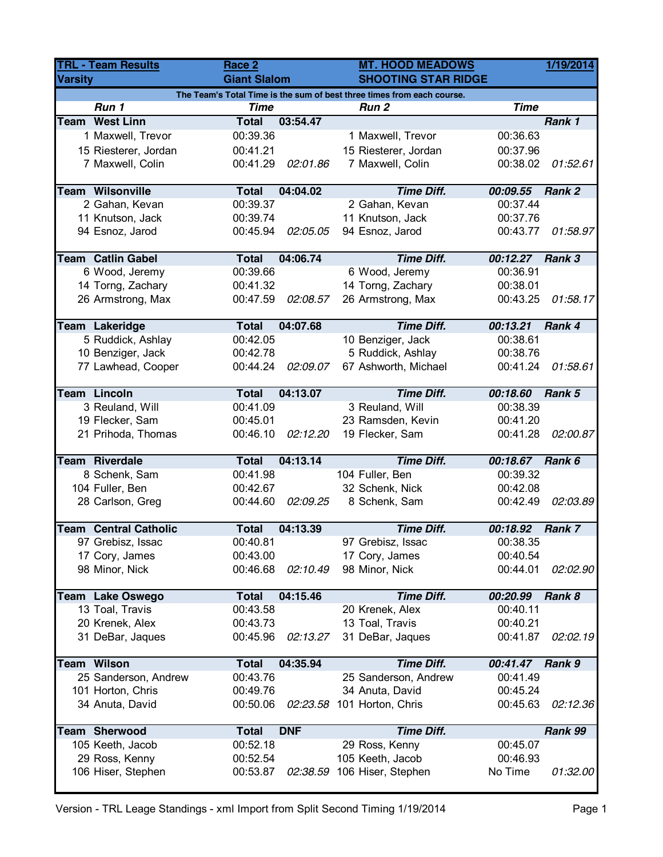| <b>TRL - Team Results</b>                                              |                              | Race 2              |            | <b>MT. HOOD MEADOWS</b>     |             | 1/19/2014 |  |
|------------------------------------------------------------------------|------------------------------|---------------------|------------|-----------------------------|-------------|-----------|--|
| <b>Varsity</b>                                                         |                              | <b>Giant Slalom</b> |            | <b>SHOOTING STAR RIDGE</b>  |             |           |  |
| The Team's Total Time is the sum of best three times from each course. |                              |                     |            |                             |             |           |  |
|                                                                        | Run 1                        | <b>Time</b>         |            | Run <sub>2</sub>            | <b>Time</b> |           |  |
|                                                                        | <b>Team West Linn</b>        | <b>Total</b>        | 03:54.47   |                             |             | Rank 1    |  |
|                                                                        | 1 Maxwell, Trevor            | 00:39.36            |            | 1 Maxwell, Trevor           | 00:36.63    |           |  |
|                                                                        | 15 Riesterer, Jordan         | 00:41.21            |            | 15 Riesterer, Jordan        | 00:37.96    |           |  |
|                                                                        | 7 Maxwell, Colin             | 00:41.29            | 02:01.86   | 7 Maxwell, Colin            | 00:38.02    | 01:52.61  |  |
|                                                                        | <b>Team Wilsonville</b>      | <b>Total</b>        | 04:04.02   | <b>Time Diff.</b>           | 00:09.55    | Rank 2    |  |
|                                                                        | 2 Gahan, Kevan               | 00:39.37            |            | 2 Gahan, Kevan              | 00:37.44    |           |  |
|                                                                        | 11 Knutson, Jack             | 00:39.74            |            | 11 Knutson, Jack            | 00:37.76    |           |  |
|                                                                        | 94 Esnoz, Jarod              | 00:45.94            | 02:05.05   | 94 Esnoz, Jarod             | 00:43.77    | 01:58.97  |  |
|                                                                        |                              |                     |            |                             |             |           |  |
|                                                                        | <b>Team Catlin Gabel</b>     | <b>Total</b>        | 04:06.74   | <b>Time Diff.</b>           | 00:12.27    | Rank 3    |  |
|                                                                        | 6 Wood, Jeremy               | 00:39.66            |            | 6 Wood, Jeremy              | 00:36.91    |           |  |
|                                                                        | 14 Torng, Zachary            | 00:41.32            |            | 14 Torng, Zachary           | 00:38.01    |           |  |
|                                                                        | 26 Armstrong, Max            | 00:47.59            | 02:08.57   | 26 Armstrong, Max           | 00:43.25    | 01:58.17  |  |
|                                                                        | Team Lakeridge               | <b>Total</b>        | 04:07.68   | <b>Time Diff.</b>           | 00:13.21    | Rank 4    |  |
|                                                                        | 5 Ruddick, Ashlay            | 00:42.05            |            | 10 Benziger, Jack           | 00:38.61    |           |  |
|                                                                        |                              |                     |            |                             |             |           |  |
|                                                                        | 10 Benziger, Jack            | 00:42.78            |            | 5 Ruddick, Ashlay           | 00:38.76    |           |  |
|                                                                        | 77 Lawhead, Cooper           | 00:44.24            | 02:09.07   | 67 Ashworth, Michael        | 00:41.24    | 01:58.61  |  |
|                                                                        | <b>Team Lincoln</b>          | <b>Total</b>        | 04:13.07   | <b>Time Diff.</b>           | 00:18.60    | Rank 5    |  |
|                                                                        | 3 Reuland, Will              | 00:41.09            |            | 3 Reuland, Will             | 00:38.39    |           |  |
|                                                                        | 19 Flecker, Sam              | 00:45.01            |            | 23 Ramsden, Kevin           | 00:41.20    |           |  |
|                                                                        | 21 Prihoda, Thomas           | 00:46.10            | 02:12.20   | 19 Flecker, Sam             | 00:41.28    | 02:00.87  |  |
|                                                                        | <b>Team Riverdale</b>        | <b>Total</b>        | 04:13.14   | <b>Time Diff.</b>           | 00:18.67    | Rank 6    |  |
|                                                                        | 8 Schenk, Sam                | 00:41.98            |            | 104 Fuller, Ben             | 00:39.32    |           |  |
|                                                                        | 104 Fuller, Ben              | 00:42.67            |            | 32 Schenk, Nick             | 00:42.08    |           |  |
|                                                                        | 28 Carlson, Greg             | 00:44.60            | 02:09.25   | 8 Schenk, Sam               | 00:42.49    | 02:03.89  |  |
|                                                                        |                              |                     |            |                             |             |           |  |
|                                                                        | <b>Team Central Catholic</b> | <b>Total</b>        | 04:13.39   | <b>Time Diff.</b>           | 00:18.92    | Rank 7    |  |
|                                                                        | 97 Grebisz, Issac            | 00:40.81            |            | 97 Grebisz, Issac           | 00:38.35    |           |  |
|                                                                        | 17 Cory, James               | 00:43.00            |            | 17 Cory, James              | 00:40.54    |           |  |
|                                                                        | 98 Minor, Nick               | 00:46.68            | 02:10.49   | 98 Minor, Nick              | 00:44.01    | 02:02.90  |  |
|                                                                        | Team Lake Oswego             | <b>Total</b>        | 04:15.46   | <b>Time Diff.</b>           | 00:20.99    | Rank 8    |  |
|                                                                        | 13 Toal, Travis              | 00:43.58            |            | 20 Krenek, Alex             | 00:40.11    |           |  |
|                                                                        | 20 Krenek, Alex              | 00:43.73            |            | 13 Toal, Travis             | 00:40.21    |           |  |
|                                                                        | 31 DeBar, Jaques             | 00:45.96            | 02:13.27   | 31 DeBar, Jaques            | 00:41.87    | 02:02.19  |  |
|                                                                        |                              |                     |            |                             |             |           |  |
|                                                                        | <b>Team Wilson</b>           | <b>Total</b>        | 04:35.94   | <b>Time Diff.</b>           | 00:41.47    | Rank 9    |  |
|                                                                        | 25 Sanderson, Andrew         | 00:43.76            |            | 25 Sanderson, Andrew        | 00:41.49    |           |  |
|                                                                        | 101 Horton, Chris            | 00:49.76            |            | 34 Anuta, David             | 00:45.24    |           |  |
|                                                                        | 34 Anuta, David              | 00:50.06            |            | 02:23.58 101 Horton, Chris  | 00:45.63    | 02:12.36  |  |
|                                                                        | <b>Team Sherwood</b>         | <b>Total</b>        | <b>DNF</b> | <b>Time Diff.</b>           |             | Rank 99   |  |
|                                                                        | 105 Keeth, Jacob             | 00:52.18            |            | 29 Ross, Kenny              | 00:45.07    |           |  |
|                                                                        | 29 Ross, Kenny               | 00:52.54            |            | 105 Keeth, Jacob            | 00:46.93    |           |  |
|                                                                        | 106 Hiser, Stephen           | 00:53.87            |            | 02:38.59 106 Hiser, Stephen | No Time     | 01:32.00  |  |
|                                                                        |                              |                     |            |                             |             |           |  |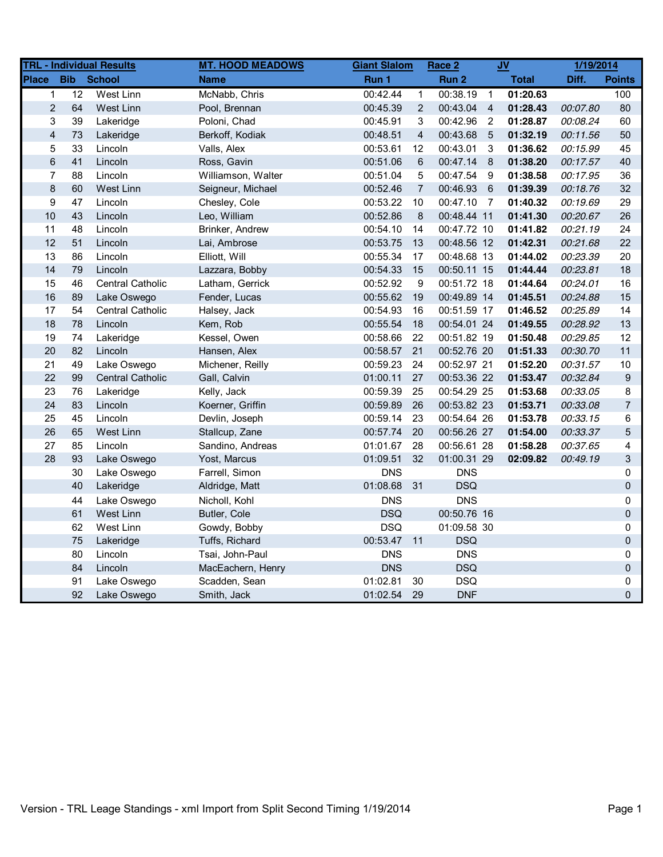| <b>TRL - Individual Results</b> |                 |                         | <b>MT. HOOD MEADOWS</b> | <b>Giant Slalom</b> |                         | Race 2           | <b>JV</b>       |              | 1/19/2014 |                  |
|---------------------------------|-----------------|-------------------------|-------------------------|---------------------|-------------------------|------------------|-----------------|--------------|-----------|------------------|
| <b>Place</b>                    | <b>Bib</b>      | <b>School</b>           | <b>Name</b>             | Run 1               |                         | Run <sub>2</sub> |                 | <b>Total</b> | Diff.     | <b>Points</b>    |
| $\mathbf{1}$                    | $\overline{12}$ | West Linn               | McNabb, Chris           | 00:42.44            | $\mathbf{1}$            | 00:38.19         | $\overline{1}$  | 01:20.63     |           | 100              |
| $\overline{2}$                  | 64              | West Linn               | Pool, Brennan           | 00:45.39            | $\overline{2}$          | 00:43.04         | $\overline{4}$  | 01:28.43     | 00:07.80  | 80               |
| 3                               | 39              | Lakeridge               | Poloni, Chad            | 00:45.91            | 3                       | 00:42.96         | $\overline{2}$  | 01:28.87     | 00:08.24  | 60               |
| $\overline{\mathbf{4}}$         | 73              | Lakeridge               | Berkoff, Kodiak         | 00:48.51            | $\overline{\mathbf{4}}$ | 00:43.68         | $5\overline{5}$ | 01:32.19     | 00:11.56  | 50               |
| 5                               | 33              | Lincoln                 | Valls, Alex             | 00:53.61            | 12                      | 00:43.01         | 3               | 01:36.62     | 00:15.99  | 45               |
| 6                               | 41              | Lincoln                 | Ross, Gavin             | 00:51.06            | 6                       | 00:47.14         | 8               | 01:38.20     | 00:17.57  | 40               |
| $\overline{7}$                  | 88              | Lincoln                 | Williamson, Walter      | 00:51.04            | 5                       | 00:47.54         | - 9             | 01:38.58     | 00:17.95  | 36               |
| $\bf 8$                         | 60              | West Linn               | Seigneur, Michael       | 00:52.46            | $\sqrt{7}$              | 00:46.93 6       |                 | 01:39.39     | 00:18.76  | 32               |
| $\boldsymbol{9}$                | 47              | Lincoln                 | Chesley, Cole           | 00:53.22            | 10                      | 00:47.10 7       |                 | 01:40.32     | 00:19.69  | 29               |
| 10                              | 43              | Lincoln                 | Leo, William            | 00:52.86            | 8                       | 00:48.44 11      |                 | 01:41.30     | 00:20.67  | 26               |
| 11                              | 48              | Lincoln                 | Brinker, Andrew         | 00:54.10            | 14                      | 00:47.72 10      |                 | 01:41.82     | 00:21.19  | 24               |
| 12                              | 51              | Lincoln                 | Lai, Ambrose            | 00:53.75            | 13                      | 00:48.56 12      |                 | 01:42.31     | 00:21.68  | 22               |
| 13                              | 86              | Lincoln                 | Elliott, Will           | 00:55.34            | 17                      | 00:48.68 13      |                 | 01:44.02     | 00:23.39  | 20               |
| 14                              | 79              | Lincoln                 | Lazzara, Bobby          | 00:54.33            | 15                      | 00:50.11 15      |                 | 01:44.44     | 00:23.81  | 18               |
| 15                              | 46              | Central Catholic        | Latham, Gerrick         | 00:52.92            | 9                       | 00:51.72 18      |                 | 01:44.64     | 00:24.01  | 16               |
| 16                              | 89              | Lake Oswego             | Fender, Lucas           | 00:55.62            | 19                      | 00:49.89 14      |                 | 01:45.51     | 00:24.88  | 15               |
| 17                              | 54              | <b>Central Catholic</b> | Halsey, Jack            | 00:54.93            | 16                      | 00:51.59 17      |                 | 01:46.52     | 00:25.89  | 14               |
| 18                              | 78              | Lincoln                 | Kem, Rob                | 00:55.54            | 18                      | 00:54.01 24      |                 | 01:49.55     | 00:28.92  | 13               |
| 19                              | 74              | Lakeridge               | Kessel, Owen            | 00:58.66            | 22                      | 00:51.82 19      |                 | 01:50.48     | 00:29.85  | 12               |
| 20                              | 82              | Lincoln                 | Hansen, Alex            | 00:58.57            | 21                      | 00:52.76 20      |                 | 01:51.33     | 00:30.70  | 11               |
| 21                              | 49              | Lake Oswego             | Michener, Reilly        | 00:59.23            | 24                      | 00:52.97 21      |                 | 01:52.20     | 00:31.57  | 10               |
| 22                              | 99              | <b>Central Catholic</b> | Gall, Calvin            | 01:00.11            | 27                      | 00:53.36 22      |                 | 01:53.47     | 00:32.84  | $\boldsymbol{9}$ |
| 23                              | 76              | Lakeridge               | Kelly, Jack             | 00:59.39            | 25                      | 00:54.29 25      |                 | 01:53.68     | 00:33.05  | 8                |
| 24                              | 83              | Lincoln                 | Koerner, Griffin        | 00:59.89            | 26                      | 00:53.82 23      |                 | 01:53.71     | 00:33.08  | $\overline{7}$   |
| 25                              | 45              | Lincoln                 | Devlin, Joseph          | 00:59.14            | 23                      | 00:54.64 26      |                 | 01:53.78     | 00:33.15  | 6                |
| 26                              | 65              | West Linn               | Stallcup, Zane          | 00:57.74            | 20                      | 00:56.26 27      |                 | 01:54.00     | 00:33.37  | 5                |
| 27                              | 85              | Lincoln                 | Sandino, Andreas        | 01:01.67            | 28                      | 00:56.61 28      |                 | 01:58.28     | 00:37.65  | 4                |
| 28                              | 93              | Lake Oswego             | Yost, Marcus            | 01:09.51            | 32                      | 01:00.31 29      |                 | 02:09.82     | 00:49.19  | 3                |
|                                 | 30              | Lake Oswego             | Farrell, Simon          | <b>DNS</b>          |                         | <b>DNS</b>       |                 |              |           | 0                |
|                                 | 40              | Lakeridge               | Aldridge, Matt          | 01:08.68            | 31                      | <b>DSQ</b>       |                 |              |           | 0                |
|                                 | 44              | Lake Oswego             | Nicholl, Kohl           | <b>DNS</b>          |                         | <b>DNS</b>       |                 |              |           | 0                |
|                                 | 61              | West Linn               | Butler, Cole            | <b>DSQ</b>          |                         | 00:50.76 16      |                 |              |           | 0                |
|                                 | 62              | West Linn               | Gowdy, Bobby            | <b>DSQ</b>          |                         | 01:09.58 30      |                 |              |           | 0                |
|                                 | 75              | Lakeridge               | Tuffs, Richard          | 00:53.47            | 11                      | <b>DSQ</b>       |                 |              |           | $\pmb{0}$        |
|                                 | 80              | Lincoln                 | Tsai, John-Paul         | <b>DNS</b>          |                         | <b>DNS</b>       |                 |              |           | 0                |
|                                 | 84              | Lincoln                 | MacEachern, Henry       | <b>DNS</b>          |                         | <b>DSQ</b>       |                 |              |           | 0                |
|                                 | 91              | Lake Oswego             | Scadden, Sean           | 01:02.81            | 30                      | <b>DSQ</b>       |                 |              |           | 0                |
|                                 | 92              | Lake Oswego             | Smith, Jack             | 01:02.54            | 29                      | <b>DNF</b>       |                 |              |           | $\overline{0}$   |